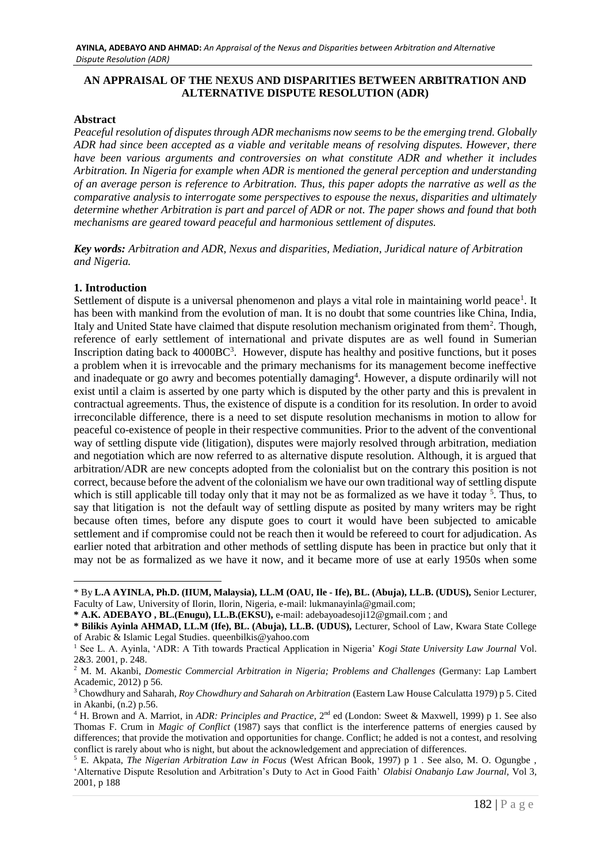# **AN APPRAISAL OF THE NEXUS AND DISPARITIES BETWEEN ARBITRATION AND ALTERNATIVE DISPUTE RESOLUTION (ADR)**

## **Abstract**

*Peaceful resolution of disputes through ADR mechanisms now seems to be the emerging trend. Globally ADR had since been accepted as a viable and veritable means of resolving disputes. However, there have been various arguments and controversies on what constitute ADR and whether it includes Arbitration. In Nigeria for example when ADR is mentioned the general perception and understanding of an average person is reference to Arbitration. Thus, this paper adopts the narrative as well as the comparative analysis to interrogate some perspectives to espouse the nexus, disparities and ultimately determine whether Arbitration is part and parcel of ADR or not. The paper shows and found that both mechanisms are geared toward peaceful and harmonious settlement of disputes.* 

*Key words: Arbitration and ADR, Nexus and disparities, Mediation, Juridical nature of Arbitration and Nigeria.*

# **1. Introduction**

<u>.</u>

Settlement of dispute is a universal phenomenon and plays a vital role in maintaining world peace<sup>1</sup>. It has been with mankind from the evolution of man. It is no doubt that some countries like China, India, Italy and United State have claimed that dispute resolution mechanism originated from them<sup>2</sup>. Though, reference of early settlement of international and private disputes are as well found in Sumerian Inscription dating back to 4000BC<sup>3</sup> . However, dispute has healthy and positive functions, but it poses a problem when it is irrevocable and the primary mechanisms for its management become ineffective and inadequate or go awry and becomes potentially damaging<sup>4</sup>. However, a dispute ordinarily will not exist until a claim is asserted by one party which is disputed by the other party and this is prevalent in contractual agreements. Thus, the existence of dispute is a condition for its resolution. In order to avoid irreconcilable difference, there is a need to set dispute resolution mechanisms in motion to allow for peaceful co-existence of people in their respective communities. Prior to the advent of the conventional way of settling dispute vide (litigation), disputes were majorly resolved through arbitration, mediation and negotiation which are now referred to as alternative dispute resolution. Although, it is argued that arbitration/ADR are new concepts adopted from the colonialist but on the contrary this position is not correct, because before the advent of the colonialism we have our own traditional way of settling dispute which is still applicable till today only that it may not be as formalized as we have it today <sup>5</sup>. Thus, to say that litigation is not the default way of settling dispute as posited by many writers may be right because often times, before any dispute goes to court it would have been subjected to amicable settlement and if compromise could not be reach then it would be refereed to court for adjudication. As earlier noted that arbitration and other methods of settling dispute has been in practice but only that it may not be as formalized as we have it now, and it became more of use at early 1950s when some

<sup>\*</sup> By **L.A AYINLA, Ph.D. (IIUM, Malaysia), LL.M (OAU, Ile - Ife), BL. (Abuja), LL.B. (UDUS),** Senior Lecturer, Faculty of Law, University of Ilorin, Ilorin, Nigeria, e-mail: [lukmanayinla@gmail.com;](mailto:lukmanayinla@gmail.com)

**<sup>\*</sup> A.K. ADEBAYO , BL.(Enugu), LL.B.(EKSU),** e-mail: [adebayoadesoji12@gmail.com](mailto:adebayoadesoji12@gmail.com) ; and

**<sup>\*</sup> Bilikis Ayinla AHMAD, LL.M (Ife), BL. (Abuja), LL.B. (UDUS),** Lecturer, School of Law, Kwara State College of Arabic & Islamic Legal Studies. [queenbilkis@yahoo.com](mailto:queenbilkis@yahoo.com)

<sup>&</sup>lt;sup>1</sup> See L. A. Ayinla, 'ADR: A Tith towards Practical Application in Nigeria' *Kogi State University Law Journal Vol.* 2&3. 2001, p. 248.

<sup>2</sup> M. M. Akanbi, *Domestic Commercial Arbitration in Nigeria; Problems and Challenges* (Germany: Lap Lambert Academic, 2012) p 56.

<sup>3</sup> Chowdhury and Saharah, *Roy Chowdhury and Saharah on Arbitration* (Eastern Law House Calculatta 1979) p 5. Cited in Akanbi, (n.2) p.56.

<sup>&</sup>lt;sup>4</sup> H. Brown and A. Marriot, in *ADR: Principles and Practice*, 2<sup>nd</sup> ed (London: Sweet & Maxwell, 1999) p 1. See also Thomas F. Crum in *Magic of Conflict* (1987) says that conflict is the interference patterns of energies caused by differences; that provide the motivation and opportunities for change. Conflict; he added is not a contest, and resolving conflict is rarely about who is night, but about the acknowledgement and appreciation of differences.

<sup>5</sup> E. Akpata, *The Nigerian Arbitration Law in Focus* (West African Book, 1997) p 1 . See also, M. O. Ogungbe , 'Alternative Dispute Resolution and Arbitration's Duty to Act in Good Faith' *Olabisi Onabanjo Law Journal,* Vol 3, 2001, p 188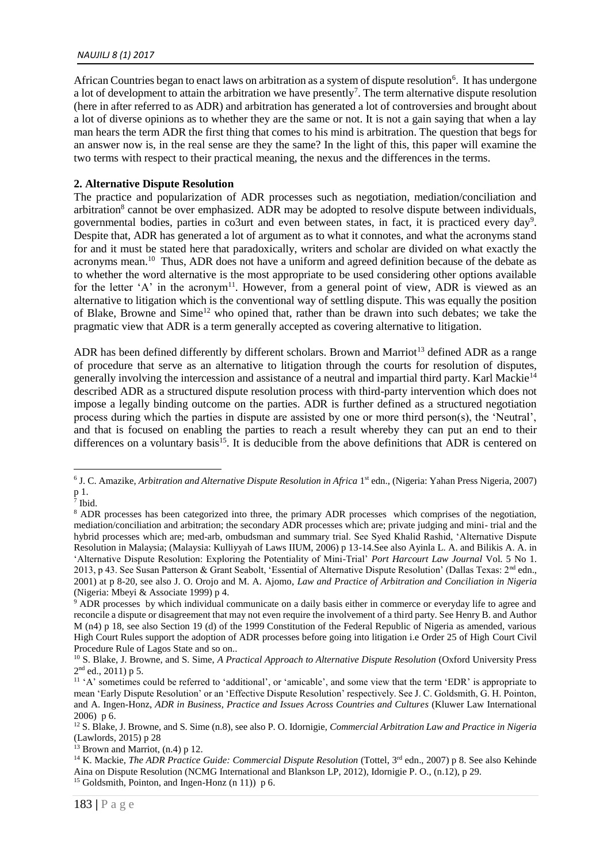#### *NAUJILJ 8 (1) 2017*

African Countries began to enact laws on arbitration as a system of dispute resolution<sup>6</sup>. It has undergone a lot of development to attain the arbitration we have presently<sup>7</sup>. The term alternative dispute resolution (here in after referred to as ADR) and arbitration has generated a lot of controversies and brought about a lot of diverse opinions as to whether they are the same or not. It is not a gain saying that when a lay man hears the term ADR the first thing that comes to his mind is arbitration. The question that begs for an answer now is, in the real sense are they the same? In the light of this, this paper will examine the two terms with respect to their practical meaning, the nexus and the differences in the terms.

# **2. Alternative Dispute Resolution**

The practice and popularization of ADR processes such as negotiation, mediation/conciliation and arbitration<sup>8</sup> cannot be over emphasized. ADR may be adopted to resolve dispute between individuals, governmental bodies, parties in co3urt and even between states, in fact, it is practiced every day<sup>9</sup>. Despite that, ADR has generated a lot of argument as to what it connotes, and what the acronyms stand for and it must be stated here that paradoxically, writers and scholar are divided on what exactly the acronyms mean.<sup>10</sup> Thus, ADR does not have a uniform and agreed definition because of the debate as to whether the word alternative is the most appropriate to be used considering other options available for the letter 'A' in the acronym<sup>11</sup>. However, from a general point of view, ADR is viewed as an alternative to litigation which is the conventional way of settling dispute. This was equally the position of Blake, Browne and Sime<sup>12</sup> who opined that, rather than be drawn into such debates; we take the pragmatic view that ADR is a term generally accepted as covering alternative to litigation.

ADR has been defined differently by different scholars. Brown and Marriot<sup>13</sup> defined ADR as a range of procedure that serve as an alternative to litigation through the courts for resolution of disputes, generally involving the intercession and assistance of a neutral and impartial third party. Karl Mackie<sup>14</sup> described ADR as a structured dispute resolution process with third-party intervention which does not impose a legally binding outcome on the parties. ADR is further defined as a structured negotiation process during which the parties in dispute are assisted by one or more third person(s), the 'Neutral', and that is focused on enabling the parties to reach a result whereby they can put an end to their differences on a voluntary basis<sup>15</sup>. It is deducible from the above definitions that ADR is centered on

<sup>&</sup>lt;sup>6</sup> J. C. Amazike, *Arbitration and Alternative Dispute Resolution in Africa* 1<sup>st</sup> edn., (Nigeria: Yahan Press Nigeria, 2007) p 1.

<sup>7</sup> Ibid.

<sup>&</sup>lt;sup>8</sup> ADR processes has been categorized into three, the primary ADR processes which comprises of the negotiation, mediation/conciliation and arbitration; the secondary ADR processes which are; private judging and mini- trial and the hybrid processes which are; med-arb, ombudsman and summary trial. See Syed Khalid Rashid, 'Alternative Dispute Resolution in Malaysia; (Malaysia: Kulliyyah of Laws IIUM, 2006) p 13-14.See also Ayinla L. A. and Bilikis A. A. in 'Alternative Dispute Resolution: Exploring the Potentiality of Mini-Trial' *Port Harcourt Law Journal* Vol. 5 No 1. 2013, p 43. See Susan Patterson & Grant Seabolt, 'Essential of Alternative Dispute Resolution' (Dallas Texas: 2nd edn., 2001) at p 8-20, see also J. O. Orojo and M. A. Ajomo, *Law and Practice of Arbitration and Conciliation in Nigeria* (Nigeria: Mbeyi & Associate 1999) p 4.

<sup>9</sup> ADR processes by which individual communicate on a daily basis either in commerce or everyday life to agree and reconcile a dispute or disagreement that may not even require the involvement of a third party. See Henry B. and Author M (n4) p 18, see also Section 19 (d) of the 1999 Constitution of the Federal Republic of Nigeria as amended, various High Court Rules support the adoption of ADR processes before going into litigation i.e Order 25 of High Court Civil Procedure Rule of Lagos State and so on..

<sup>&</sup>lt;sup>10</sup> S. Blake, J. Browne, and S. Sime, *A Practical Approach to Alternative Dispute Resolution* (Oxford University Press  $2<sup>nd</sup>$  ed., 2011) p 5.

<sup>&</sup>lt;sup>11</sup> 'A' sometimes could be referred to 'additional', or 'amicable', and some view that the term 'EDR' is appropriate to mean 'Early Dispute Resolution' or an 'Effective Dispute Resolution' respectively. See J. C. Goldsmith, G. H. Pointon, and A. Ingen-Honz, *ADR in Business, Practice and Issues Across Countries and Cultures* (Kluwer Law International 2006) p 6.

<sup>12</sup> S. Blake, J. Browne, and S. Sime (n.8), see also P. O. Idornigie, *Commercial Arbitration Law and Practice in Nigeria*  (Lawlords, 2015) p 28

 $13$  Brown and Marriot,  $(n.4)$  p 12.

<sup>&</sup>lt;sup>14</sup> K. Mackie, *The ADR Practice Guide: Commercial Dispute Resolution* (Tottel, 3<sup>rd</sup> edn., 2007) p 8. See also Kehinde Aina on Dispute Resolution (NCMG International and Blankson LP, 2012), Idornigie P. O., (n.12), p 29.

<sup>&</sup>lt;sup>15</sup> Goldsmith, Pointon, and Ingen-Honz (n 11))  $p 6$ .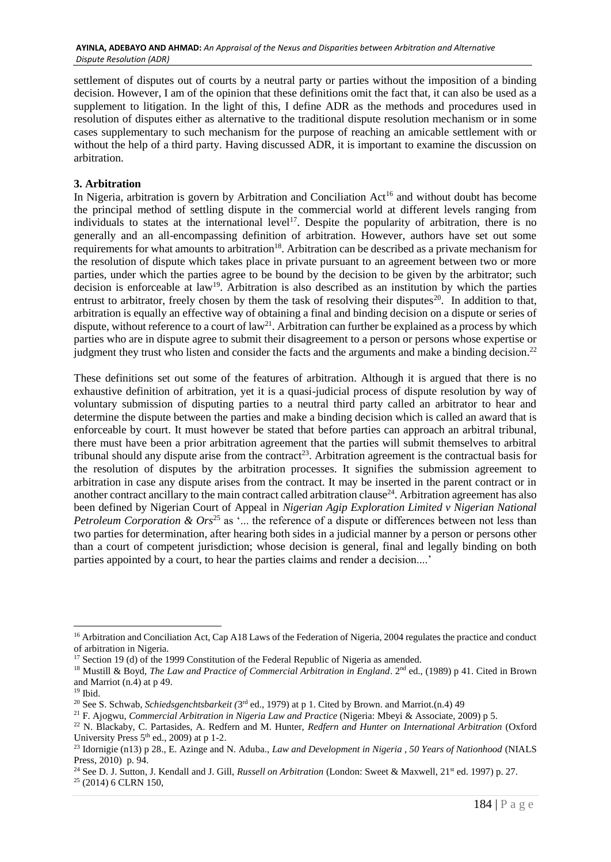settlement of disputes out of courts by a neutral party or parties without the imposition of a binding decision. However, I am of the opinion that these definitions omit the fact that, it can also be used as a supplement to litigation. In the light of this, I define ADR as the methods and procedures used in resolution of disputes either as alternative to the traditional dispute resolution mechanism or in some cases supplementary to such mechanism for the purpose of reaching an amicable settlement with or without the help of a third party. Having discussed ADR, it is important to examine the discussion on arbitration.

# **3. Arbitration**

In Nigeria, arbitration is govern by Arbitration and Conciliation Act<sup>16</sup> and without doubt has become the principal method of settling dispute in the commercial world at different levels ranging from individuals to states at the international level<sup>17</sup>. Despite the popularity of arbitration, there is no generally and an all-encompassing definition of arbitration. However, authors have set out some requirements for what amounts to arbitration<sup>18</sup>. Arbitration can be described as a private mechanism for the resolution of dispute which takes place in private pursuant to an agreement between two or more parties, under which the parties agree to be bound by the decision to be given by the arbitrator; such decision is enforceable at law<sup>19</sup>. Arbitration is also described as an institution by which the parties entrust to arbitrator, freely chosen by them the task of resolving their disputes<sup>20</sup>. In addition to that, arbitration is equally an effective way of obtaining a final and binding decision on a dispute or series of dispute, without reference to a court of  $law<sup>21</sup>$ . Arbitration can further be explained as a process by which parties who are in dispute agree to submit their disagreement to a person or persons whose expertise or judgment they trust who listen and consider the facts and the arguments and make a binding decision.<sup>22</sup>

These definitions set out some of the features of arbitration. Although it is argued that there is no exhaustive definition of arbitration, yet it is a quasi-judicial process of dispute resolution by way of voluntary submission of disputing parties to a neutral third party called an arbitrator to hear and determine the dispute between the parties and make a binding decision which is called an award that is enforceable by court. It must however be stated that before parties can approach an arbitral tribunal, there must have been a prior arbitration agreement that the parties will submit themselves to arbitral tribunal should any dispute arise from the contract<sup>23</sup>. Arbitration agreement is the contractual basis for the resolution of disputes by the arbitration processes. It signifies the submission agreement to arbitration in case any dispute arises from the contract. It may be inserted in the parent contract or in another contract ancillary to the main contract called arbitration clause<sup>24</sup>. Arbitration agreement has also been defined by Nigerian Court of Appeal in *Nigerian Agip Exploration Limited v Nigerian National Petroleum Corporation & Ors*<sup>25</sup> as '... the reference of a dispute or differences between not less than two parties for determination, after hearing both sides in a judicial manner by a person or persons other than a court of competent jurisdiction; whose decision is general, final and legally binding on both parties appointed by a court, to hear the parties claims and render a decision....'

<sup>&</sup>lt;sup>16</sup> Arbitration and Conciliation Act, Cap A18 Laws of the Federation of Nigeria, 2004 regulates the practice and conduct of arbitration in Nigeria.

 $17$  Section 19 (d) of the 1999 Constitution of the Federal Republic of Nigeria as amended.

<sup>&</sup>lt;sup>18</sup> Mustill & Boyd, *The Law and Practice of Commercial Arbitration in England*. 2<sup>nd</sup> ed., (1989) p 41. Cited in Brown and Marriot (n.4) at p 49.

 $19$  Ibid.

<sup>&</sup>lt;sup>20</sup> See S. Schwab, *Schiedsgenchtsbarkeit* (3<sup>rd</sup> ed., 1979) at p 1. Cited by Brown. and Marriot.(n.4) 49

<sup>21</sup> F. Ajogwu, *Commercial Arbitration in Nigeria Law and Practice* (Nigeria: Mbeyi & Associate, 2009) p 5.

<sup>22</sup> N. Blackaby, C. Partasides, A. Redfern and M. Hunter, *Redfern and Hunter on International Arbitration* (Oxford University Press  $5<sup>th</sup>$  ed., 2009) at p 1-2.

<sup>23</sup> Idornigie (n13) p 28., E. Azinge and N. Aduba., *Law and Development in Nigeria , 50 Years of Nationhood* (NIALS Press, 2010) p. 94.

<sup>&</sup>lt;sup>24</sup> See D. J. Sutton, J. Kendall and J. Gill, *Russell on Arbitration* (London: Sweet & Maxwell, 21<sup>st</sup> ed. 1997) p. 27. <sup>25</sup> (2014) 6 CLRN 150,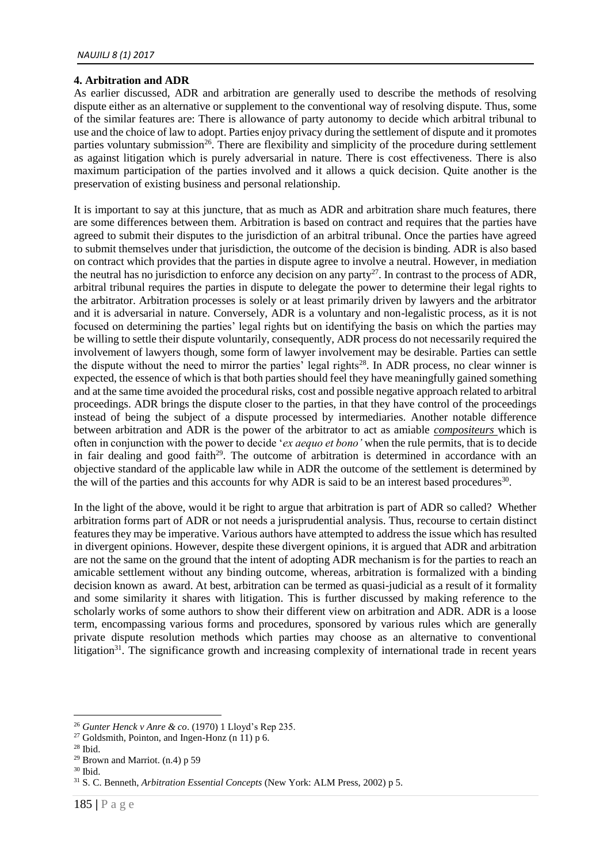## **4. Arbitration and ADR**

As earlier discussed, ADR and arbitration are generally used to describe the methods of resolving dispute either as an alternative or supplement to the conventional way of resolving dispute. Thus, some of the similar features are: There is allowance of party autonomy to decide which arbitral tribunal to use and the choice of law to adopt. Parties enjoy privacy during the settlement of dispute and it promotes parties voluntary submission<sup>26</sup>. There are flexibility and simplicity of the procedure during settlement as against litigation which is purely adversarial in nature. There is cost effectiveness. There is also maximum participation of the parties involved and it allows a quick decision. Quite another is the preservation of existing business and personal relationship.

It is important to say at this juncture, that as much as ADR and arbitration share much features, there are some differences between them. Arbitration is based on contract and requires that the parties have agreed to submit their disputes to the jurisdiction of an arbitral tribunal. Once the parties have agreed to submit themselves under that jurisdiction, the outcome of the decision is binding. ADR is also based on contract which provides that the parties in dispute agree to involve a neutral. However, in mediation the neutral has no jurisdiction to enforce any decision on any party<sup>27</sup>. In contrast to the process of ADR, arbitral tribunal requires the parties in dispute to delegate the power to determine their legal rights to the arbitrator. Arbitration processes is solely or at least primarily driven by lawyers and the arbitrator and it is adversarial in nature. Conversely, ADR is a voluntary and non-legalistic process, as it is not focused on determining the parties' legal rights but on identifying the basis on which the parties may be willing to settle their dispute voluntarily, consequently, ADR process do not necessarily required the involvement of lawyers though, some form of lawyer involvement may be desirable. Parties can settle the dispute without the need to mirror the parties' legal rights<sup>28</sup>. In ADR process, no clear winner is expected, the essence of which is that both parties should feel they have meaningfully gained something and at the same time avoided the procedural risks, cost and possible negative approach related to arbitral proceedings. ADR brings the dispute closer to the parties, in that they have control of the proceedings instead of being the subject of a dispute processed by intermediaries. Another notable difference between arbitration and ADR is the power of the arbitrator to act as amiable *compositeurs* which is often in conjunction with the power to decide '*ex aequo et bono'* when the rule permits, that is to decide in fair dealing and good faith<sup>29</sup>. The outcome of arbitration is determined in accordance with an objective standard of the applicable law while in ADR the outcome of the settlement is determined by the will of the parties and this accounts for why ADR is said to be an interest based procedures<sup>30</sup>.

In the light of the above, would it be right to argue that arbitration is part of ADR so called? Whether arbitration forms part of ADR or not needs a jurisprudential analysis. Thus, recourse to certain distinct features they may be imperative. Various authors have attempted to address the issue which has resulted in divergent opinions. However, despite these divergent opinions, it is argued that ADR and arbitration are not the same on the ground that the intent of adopting ADR mechanism is for the parties to reach an amicable settlement without any binding outcome, whereas, arbitration is formalized with a binding decision known as award. At best, arbitration can be termed as quasi-judicial as a result of it formality and some similarity it shares with litigation. This is further discussed by making reference to the scholarly works of some authors to show their different view on arbitration and ADR. ADR is a loose term, encompassing various forms and procedures, sponsored by various rules which are generally private dispute resolution methods which parties may choose as an alternative to conventional litigation<sup>31</sup>. The significance growth and increasing complexity of international trade in recent years

<sup>26</sup> *Gunter Henck v Anre & co*. (1970) 1 Lloyd's Rep 235.

<sup>&</sup>lt;sup>27</sup> Goldsmith, Pointon, and Ingen-Honz (n 11) p 6.

 $28$  Ibid.

<sup>&</sup>lt;sup>29</sup> Brown and Marriot.  $(n.4)$  p 59

 $30$  Ibid.

<sup>31</sup> S. C. Benneth, *Arbitration Essential Concepts* (New York: ALM Press, 2002) p 5.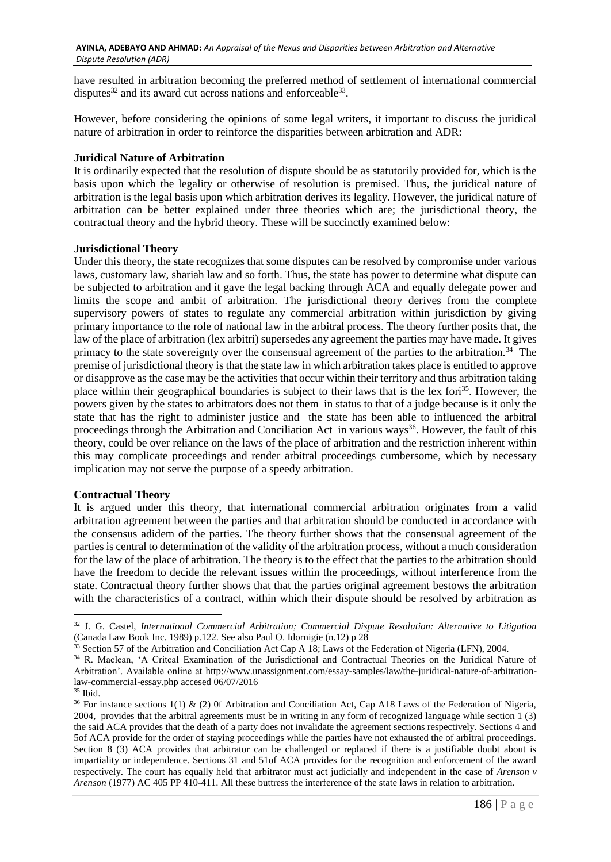have resulted in arbitration becoming the preferred method of settlement of international commercial disputes $32$  and its award cut across nations and enforceable  $33$ .

However, before considering the opinions of some legal writers, it important to discuss the juridical nature of arbitration in order to reinforce the disparities between arbitration and ADR:

## **Juridical Nature of Arbitration**

It is ordinarily expected that the resolution of dispute should be as statutorily provided for, which is the basis upon which the legality or otherwise of resolution is premised. Thus, the juridical nature of arbitration is the legal basis upon which arbitration derives its legality. However, the juridical nature of arbitration can be better explained under three theories which are; the jurisdictional theory, the contractual theory and the hybrid theory. These will be succinctly examined below:

### **Jurisdictional Theory**

Under this theory, the state recognizes that some disputes can be resolved by compromise under various laws, customary law, shariah law and so forth. Thus, the state has power to determine what dispute can be subjected to arbitration and it gave the legal backing through ACA and equally delegate power and limits the scope and ambit of arbitration. The jurisdictional theory derives from the complete supervisory powers of states to regulate any commercial arbitration within jurisdiction by giving primary importance to the role of national law in the arbitral process. The theory further posits that, the law of the place of arbitration (lex arbitri) supersedes any agreement the parties may have made. It gives primacy to the state sovereignty over the consensual agreement of the parties to the arbitration.<sup>34</sup> The premise of jurisdictional theory is that the state law in which arbitration takes place is entitled to approve or disapprove as the case may be the activities that occur within their territory and thus arbitration taking place within their geographical boundaries is subject to their laws that is the lex fori<sup>35</sup>. However, the powers given by the states to arbitrators does not them in status to that of a judge because is it only the state that has the right to administer justice and the state has been able to influenced the arbitral proceedings through the Arbitration and Conciliation Act in various ways<sup>36</sup>. However, the fault of this theory, could be over reliance on the laws of the place of arbitration and the restriction inherent within this may complicate proceedings and render arbitral proceedings cumbersome, which by necessary implication may not serve the purpose of a speedy arbitration.

#### **Contractual Theory**

It is argued under this theory, that international commercial arbitration originates from a valid arbitration agreement between the parties and that arbitration should be conducted in accordance with the consensus adidem of the parties. The theory further shows that the consensual agreement of the parties is central to determination of the validity of the arbitration process, without a much consideration for the law of the place of arbitration. The theory is to the effect that the parties to the arbitration should have the freedom to decide the relevant issues within the proceedings, without interference from the state. Contractual theory further shows that that the parties original agreement bestows the arbitration with the characteristics of a contract, within which their dispute should be resolved by arbitration as

<sup>32</sup> J. G. Castel, *International Commercial Arbitration; Commercial Dispute Resolution: Alternative to Litigation* (Canada Law Book Inc. 1989) p.122. See also Paul O. Idornigie (n.12) p 28

<sup>&</sup>lt;sup>33</sup> Section 57 of the Arbitration and Conciliation Act Cap A 18; Laws of the Federation of Nigeria (LFN), 2004.

<sup>34</sup> R. Maclean, 'A Critcal Examination of the Jurisdictional and Contractual Theories on the Juridical Nature of Arbitration'. Available online at [http://www.unassignment.com/essay-samples/law/the-juridical-nature-of-arbitration](http://www.unassignment.com/ESSAY-SAMPLES/LAW/THE-JURIDICAL-NATURE-OF-ARBITRATION-LAW-COMMERCIAL-ESSAY.PHP%20ACCESED%2006/07/2016)[law-commercial-essay.php accesed 06/07/2016](http://www.unassignment.com/ESSAY-SAMPLES/LAW/THE-JURIDICAL-NATURE-OF-ARBITRATION-LAW-COMMERCIAL-ESSAY.PHP%20ACCESED%2006/07/2016)

 $35$  Ibid.

<sup>&</sup>lt;sup>36</sup> For instance sections 1(1) & (2) 0f Arbitration and Conciliation Act, Cap A18 Laws of the Federation of Nigeria, 2004, provides that the arbitral agreements must be in writing in any form of recognized language while section 1 (3) the said ACA provides that the death of a party does not invalidate the agreement sections respectively. Sections 4 and 5of ACA provide for the order of staying proceedings while the parties have not exhausted the of arbitral proceedings. Section 8 (3) ACA provides that arbitrator can be challenged or replaced if there is a justifiable doubt about is impartiality or independence. Sections 31 and 51of ACA provides for the recognition and enforcement of the award respectively. The court has equally held that arbitrator must act judicially and independent in the case of *Arenson v Arenson* (1977) AC 405 PP 410-411. All these buttress the interference of the state laws in relation to arbitration.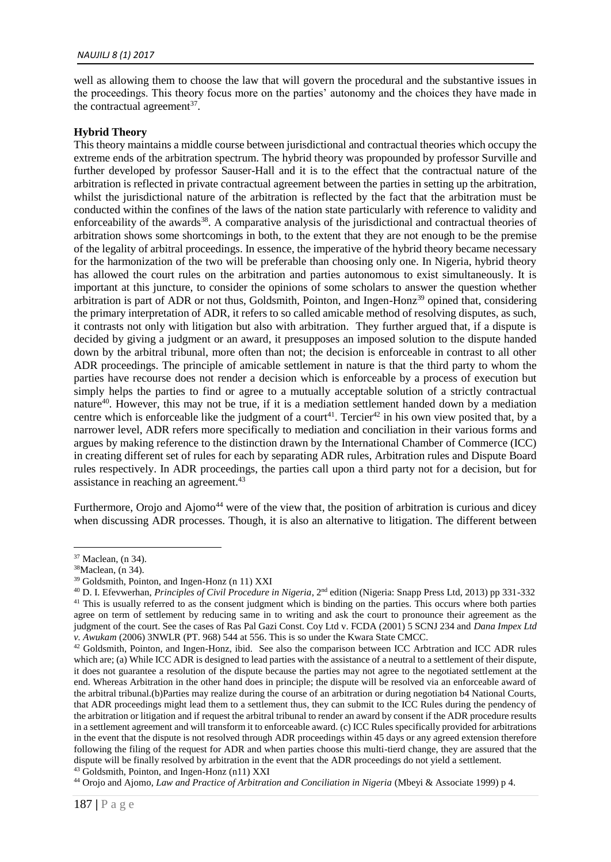well as allowing them to choose the law that will govern the procedural and the substantive issues in the proceedings. This theory focus more on the parties' autonomy and the choices they have made in the contractual agreement<sup>37</sup>.

# **Hybrid Theory**

This theory maintains a middle course between jurisdictional and contractual theories which occupy the extreme ends of the arbitration spectrum. The hybrid theory was propounded by professor Surville and further developed by professor Sauser-Hall and it is to the effect that the contractual nature of the arbitration is reflected in private contractual agreement between the parties in setting up the arbitration, whilst the jurisdictional nature of the arbitration is reflected by the fact that the arbitration must be conducted within the confines of the laws of the nation state particularly with reference to validity and enforceability of the awards<sup>38</sup>. A comparative analysis of the jurisdictional and contractual theories of arbitration shows some shortcomings in both, to the extent that they are not enough to be the premise of the legality of arbitral proceedings. In essence, the imperative of the hybrid theory became necessary for the harmonization of the two will be preferable than choosing only one. In Nigeria, hybrid theory has allowed the court rules on the arbitration and parties autonomous to exist simultaneously. It is important at this juncture, to consider the opinions of some scholars to answer the question whether arbitration is part of ADR or not thus, Goldsmith, Pointon, and Ingen-Honz<sup>39</sup> opined that, considering the primary interpretation of ADR, it refers to so called amicable method of resolving disputes, as such, it contrasts not only with litigation but also with arbitration. They further argued that, if a dispute is decided by giving a judgment or an award, it presupposes an imposed solution to the dispute handed down by the arbitral tribunal, more often than not; the decision is enforceable in contrast to all other ADR proceedings. The principle of amicable settlement in nature is that the third party to whom the parties have recourse does not render a decision which is enforceable by a process of execution but simply helps the parties to find or agree to a mutually acceptable solution of a strictly contractual nature<sup>40</sup>. However, this may not be true, if it is a mediation settlement handed down by a mediation centre which is enforceable like the judgment of a court<sup>41</sup>. Tercier<sup>42</sup> in his own view posited that, by a narrower level, ADR refers more specifically to mediation and conciliation in their various forms and argues by making reference to the distinction drawn by the International Chamber of Commerce (ICC) in creating different set of rules for each by separating ADR rules, Arbitration rules and Dispute Board rules respectively. In ADR proceedings, the parties call upon a third party not for a decision, but for assistance in reaching an agreement.<sup>43</sup>

Furthermore, Orojo and Ajomo<sup>44</sup> were of the view that, the position of arbitration is curious and dicey when discussing ADR processes. Though, it is also an alternative to litigation. The different between

<sup>1</sup> <sup>37</sup> Maclean, (n 34).

 $38$ Maclean, (n 34).

<sup>39</sup> Goldsmith, Pointon, and Ingen-Honz (n 11) XXI

<sup>40</sup> D. I. Efevwerhan, *Principles of Civil Procedure in Nigeria*, 2nd edition (Nigeria: Snapp Press Ltd, 2013) pp 331-332 <sup>41</sup> This is usually referred to as the consent judgment which is binding on the parties. This occurs where both parties agree on term of settlement by reducing same in to writing and ask the court to pronounce their agreement as the judgment of the court. See the cases of Ras Pal Gazi Const. Coy Ltd v. FCDA (2001) 5 SCNJ 234 and *Dana Impex Ltd v. Awukam* (2006) 3NWLR (PT. 968) 544 at 556. This is so under the Kwara State CMCC.

<sup>&</sup>lt;sup>42</sup> Goldsmith, Pointon, and Ingen-Honz, ibid. See also the comparison between ICC Arbtration and ICC ADR rules which are; (a) While ICC ADR is designed to lead parties with the assistance of a neutral to a settlement of their dispute, it does not guarantee a resolution of the dispute because the parties may not agree to the negotiated settlement at the end. Whereas Arbitration in the other hand does in principle; the dispute will be resolved via an enforceable award of the arbitral tribunal.(b)Parties may realize during the course of an arbitration or during negotiation b4 National Courts, that ADR proceedings might lead them to a settlement thus, they can submit to the ICC Rules during the pendency of the arbitration or litigation and if request the arbitral tribunal to render an award by consent if the ADR procedure results in a settlement agreement and will transform it to enforceable award. (c) ICC Rules specifically provided for arbitrations in the event that the dispute is not resolved through ADR proceedings within 45 days or any agreed extension therefore following the filing of the request for ADR and when parties choose this multi-tierd change, they are assured that the dispute will be finally resolved by arbitration in the event that the ADR proceedings do not yield a settlement. <sup>43</sup> Goldsmith, Pointon, and Ingen-Honz (n11) XXI

<sup>&</sup>lt;sup>44</sup> Orojo and Ajomo, *Law and Practice of Arbitration and Conciliation in Nigeria* (Mbeyi & Associate 1999) p 4.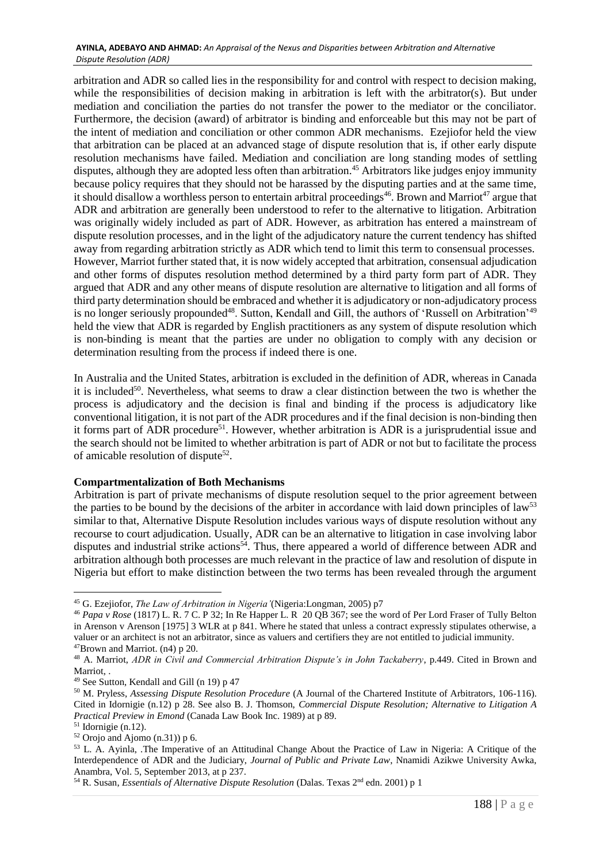#### **AYINLA, ADEBAYO AND AHMAD:** *An Appraisal of the Nexus and Disparities between Arbitration and Alternative Dispute Resolution (ADR)*

arbitration and ADR so called lies in the responsibility for and control with respect to decision making, while the responsibilities of decision making in arbitration is left with the arbitrator(s). But under mediation and conciliation the parties do not transfer the power to the mediator or the conciliator. Furthermore, the decision (award) of arbitrator is binding and enforceable but this may not be part of the intent of mediation and conciliation or other common ADR mechanisms. Ezejiofor held the view that arbitration can be placed at an advanced stage of dispute resolution that is, if other early dispute resolution mechanisms have failed. Mediation and conciliation are long standing modes of settling disputes, although they are adopted less often than arbitration.<sup>45</sup> Arbitrators like judges enjoy immunity because policy requires that they should not be harassed by the disputing parties and at the same time, it should disallow a worthless person to entertain arbitral proceedings<sup>46</sup>. Brown and Marriot<sup>47</sup> argue that ADR and arbitration are generally been understood to refer to the alternative to litigation. Arbitration was originally widely included as part of ADR. However, as arbitration has entered a mainstream of dispute resolution processes, and in the light of the adjudicatory nature the current tendency has shifted away from regarding arbitration strictly as ADR which tend to limit this term to consensual processes. However, Marriot further stated that, it is now widely accepted that arbitration, consensual adjudication and other forms of disputes resolution method determined by a third party form part of ADR. They argued that ADR and any other means of dispute resolution are alternative to litigation and all forms of third party determination should be embraced and whether it is adjudicatory or non-adjudicatory process is no longer seriously propounded<sup>48</sup>. Sutton, Kendall and Gill, the authors of 'Russell on Arbitration'<sup>49</sup> held the view that ADR is regarded by English practitioners as any system of dispute resolution which is non-binding is meant that the parties are under no obligation to comply with any decision or determination resulting from the process if indeed there is one.

In Australia and the United States, arbitration is excluded in the definition of ADR, whereas in Canada it is included<sup>50</sup>. Nevertheless, what seems to draw a clear distinction between the two is whether the process is adjudicatory and the decision is final and binding if the process is adjudicatory like conventional litigation, it is not part of the ADR procedures and if the final decision is non-binding then it forms part of ADR procedure<sup>51</sup>. However, whether arbitration is ADR is a jurisprudential issue and the search should not be limited to whether arbitration is part of ADR or not but to facilitate the process of amicable resolution of dispute<sup>52</sup>.

# **Compartmentalization of Both Mechanisms**

Arbitration is part of private mechanisms of dispute resolution sequel to the prior agreement between the parties to be bound by the decisions of the arbiter in accordance with laid down principles of law<sup>53</sup> similar to that, Alternative Dispute Resolution includes various ways of dispute resolution without any recourse to court adjudication. Usually, ADR can be an alternative to litigation in case involving labor disputes and industrial strike actions<sup>54</sup>. Thus, there appeared a world of difference between ADR and arbitration although both processes are much relevant in the practice of law and resolution of dispute in Nigeria but effort to make distinction between the two terms has been revealed through the argument

<sup>45</sup> G. Ezejiofor, *The Law of Arbitration in Nigeria'*(Nigeria:Longman, 2005) p7

<sup>46</sup> *Papa v Rose* (1817) L. R. 7 C. P 32; In Re Happer L. R 20 QB 367; see the word of Per Lord Fraser of Tully Belton in Arenson v Arenson [1975] 3 WLR at p 841. Where he stated that unless a contract expressly stipulates otherwise, a valuer or an architect is not an arbitrator, since as valuers and certifiers they are not entitled to judicial immunity.  $47Brown$  and Marriot. (n4) p 20.

<sup>48</sup> A. Marriot, *ADR in Civil and Commercial Arbitration Dispute's in John Tackaberry*, p.449. Cited in Brown and Marriot...

<sup>49</sup> See Sutton, Kendall and Gill (n 19) p 47

<sup>50</sup> M. Pryless, *Assessing Dispute Resolution Procedure* (A Journal of the Chartered Institute of Arbitrators, 106-116). Cited in Idornigie (n.12) p 28. See also B. J. Thomson, *Commercial Dispute Resolution; Alternative to Litigation A Practical Preview in Emond* (Canada Law Book Inc. 1989) at p 89.

 $51$  Idornigie (n.12).

 $52$  Orojo and Ajomo (n.31)) p 6.

<sup>&</sup>lt;sup>53</sup> L. A. Ayinla, .The Imperative of an Attitudinal Change About the Practice of Law in Nigeria: A Critique of the Interdependence of ADR and the Judiciary, *Journal of Public and Private Law*, Nnamidi Azikwe University Awka, Anambra, Vol. 5, September 2013, at p 237.

<sup>&</sup>lt;sup>54</sup> R. Susan, *Essentials of Alternative Dispute Resolution* (Dalas. Texas 2<sup>nd</sup> edn. 2001) p 1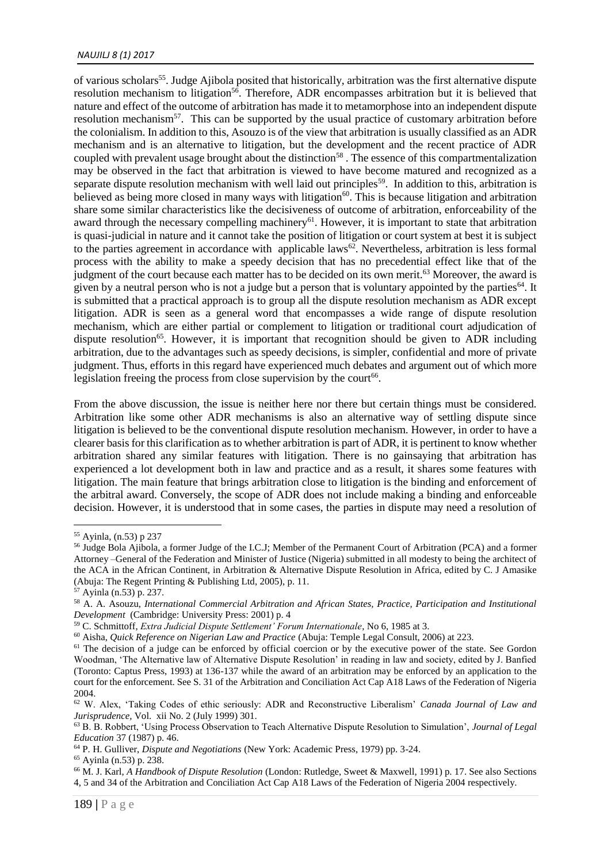of various scholars<sup>55</sup>. Judge Ajibola posited that historically, arbitration was the first alternative dispute resolution mechanism to litigation<sup>56</sup>. Therefore, ADR encompasses arbitration but it is believed that nature and effect of the outcome of arbitration has made it to metamorphose into an independent dispute resolution mechanism<sup>57</sup>. This can be supported by the usual practice of customary arbitration before the colonialism. In addition to this, Asouzo is of the view that arbitration is usually classified as an ADR mechanism and is an alternative to litigation, but the development and the recent practice of ADR coupled with prevalent usage brought about the distinction<sup>58</sup>. The essence of this compartmentalization may be observed in the fact that arbitration is viewed to have become matured and recognized as a separate dispute resolution mechanism with well laid out principles<sup>59</sup>. In addition to this, arbitration is believed as being more closed in many ways with litigation<sup>60</sup>. This is because litigation and arbitration share some similar characteristics like the decisiveness of outcome of arbitration, enforceability of the award through the necessary compelling machinery<sup>61</sup>. However, it is important to state that arbitration is quasi-judicial in nature and it cannot take the position of litigation or court system at best it is subject to the parties agreement in accordance with applicable laws<sup>62</sup>. Nevertheless, arbitration is less formal process with the ability to make a speedy decision that has no precedential effect like that of the judgment of the court because each matter has to be decided on its own merit.<sup>63</sup> Moreover, the award is given by a neutral person who is not a judge but a person that is voluntary appointed by the parties<sup>64</sup>. It is submitted that a practical approach is to group all the dispute resolution mechanism as ADR except litigation. ADR is seen as a general word that encompasses a wide range of dispute resolution mechanism, which are either partial or complement to litigation or traditional court adjudication of dispute resolution<sup>65</sup>. However, it is important that recognition should be given to ADR including arbitration, due to the advantages such as speedy decisions, is simpler, confidential and more of private judgment. Thus, efforts in this regard have experienced much debates and argument out of which more legislation freeing the process from close supervision by the court<sup>66</sup>.

From the above discussion, the issue is neither here nor there but certain things must be considered. Arbitration like some other ADR mechanisms is also an alternative way of settling dispute since litigation is believed to be the conventional dispute resolution mechanism. However, in order to have a clearer basis for this clarification as to whether arbitration is part of ADR, it is pertinent to know whether arbitration shared any similar features with litigation. There is no gainsaying that arbitration has experienced a lot development both in law and practice and as a result, it shares some features with litigation. The main feature that brings arbitration close to litigation is the binding and enforcement of the arbitral award. Conversely, the scope of ADR does not include making a binding and enforceable decision. However, it is understood that in some cases, the parties in dispute may need a resolution of

<u>.</u>

<sup>55</sup> Ayinla, (n.53) p 237

<sup>56</sup> Judge Bola Ajibola, a former Judge of the I.C.J; Member of the Permanent Court of Arbitration (PCA) and a former Attorney –General of the Federation and Minister of Justice (Nigeria) submitted in all modesty to being the architect of the ACA in the African Continent, in Arbitration & Alternative Dispute Resolution in Africa, edited by C. J Amasike (Abuja: The Regent Printing & Publishing Ltd, 2005), p. 11.

<sup>57</sup> Ayinla (n.53) p. 237.

<sup>58</sup> A. A. Asouzu, *International Commercial Arbitration and African States, Practice, Participation and Institutional Development* (Cambridge: University Press: 2001) p. 4

<sup>59</sup> C. Schmittoff, *Extra Judicial Dispute Settlement' Forum Internationale*, No 6, 1985 at 3.

<sup>60</sup> Aisha, *Quick Reference on Nigerian Law and Practice* (Abuja: Temple Legal Consult, 2006) at 223.

<sup>&</sup>lt;sup>61</sup> The decision of a judge can be enforced by official coercion or by the executive power of the state. See Gordon Woodman, 'The Alternative law of Alternative Dispute Resolution' in reading in law and society, edited by J. Banfied (Toronto: Captus Press, 1993) at 136-137 while the award of an arbitration may be enforced by an application to the court for the enforcement. See S. 31 of the Arbitration and Conciliation Act Cap A18 Laws of the Federation of Nigeria 2004.

<sup>62</sup> W. Alex, 'Taking Codes of ethic seriously: ADR and Reconstructive Liberalism' *Canada Journal of Law and Jurisprudence,* Vol. xii No. 2 (July 1999) 301.

<sup>63</sup> B. B. Robbert, 'Using Process Observation to Teach Alternative Dispute Resolution to Simulation', *Journal of Legal Education* 37 (1987) p. 46.

<sup>64</sup> P. H. Gulliver, *Dispute and Negotiations* (New York: Academic Press, 1979) pp. 3-24.

<sup>65</sup> Ayinla (n.53) p. 238.

<sup>66</sup> M. J. Karl, *A Handbook of Dispute Resolution* (London: Rutledge, Sweet & Maxwell, 1991) p. 17. See also Sections 4, 5 and 34 of the Arbitration and Conciliation Act Cap A18 Laws of the Federation of Nigeria 2004 respectively.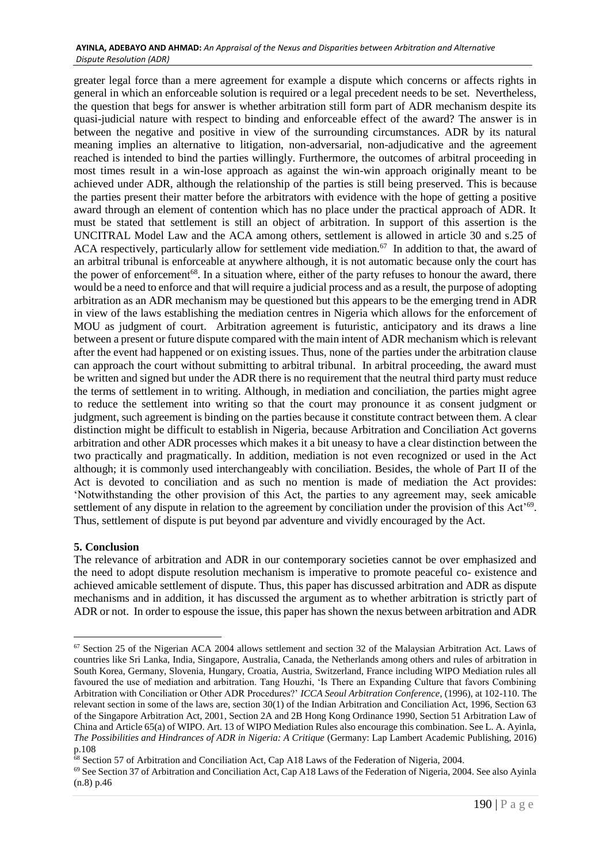#### **AYINLA, ADEBAYO AND AHMAD:** *An Appraisal of the Nexus and Disparities between Arbitration and Alternative Dispute Resolution (ADR)*

greater legal force than a mere agreement for example a dispute which concerns or affects rights in general in which an enforceable solution is required or a legal precedent needs to be set. Nevertheless, the question that begs for answer is whether arbitration still form part of ADR mechanism despite its quasi-judicial nature with respect to binding and enforceable effect of the award? The answer is in between the negative and positive in view of the surrounding circumstances. ADR by its natural meaning implies an alternative to litigation, non-adversarial, non-adjudicative and the agreement reached is intended to bind the parties willingly. Furthermore, the outcomes of arbitral proceeding in most times result in a win-lose approach as against the win-win approach originally meant to be achieved under ADR, although the relationship of the parties is still being preserved. This is because the parties present their matter before the arbitrators with evidence with the hope of getting a positive award through an element of contention which has no place under the practical approach of ADR. It must be stated that settlement is still an object of arbitration. In support of this assertion is the UNCITRAL Model Law and the ACA among others, settlement is allowed in article 30 and s.25 of ACA respectively, particularly allow for settlement vide mediation.<sup>67</sup> In addition to that, the award of an arbitral tribunal is enforceable at anywhere although, it is not automatic because only the court has the power of enforcement<sup>68</sup>. In a situation where, either of the party refuses to honour the award, there would be a need to enforce and that will require a judicial process and as a result, the purpose of adopting arbitration as an ADR mechanism may be questioned but this appears to be the emerging trend in ADR in view of the laws establishing the mediation centres in Nigeria which allows for the enforcement of MOU as judgment of court. Arbitration agreement is futuristic, anticipatory and its draws a line between a present or future dispute compared with the main intent of ADR mechanism which is relevant after the event had happened or on existing issues. Thus, none of the parties under the arbitration clause can approach the court without submitting to arbitral tribunal. In arbitral proceeding, the award must be written and signed but under the ADR there is no requirement that the neutral third party must reduce the terms of settlement in to writing. Although, in mediation and conciliation, the parties might agree to reduce the settlement into writing so that the court may pronounce it as consent judgment or judgment, such agreement is binding on the parties because it constitute contract between them. A clear distinction might be difficult to establish in Nigeria, because Arbitration and Conciliation Act governs arbitration and other ADR processes which makes it a bit uneasy to have a clear distinction between the two practically and pragmatically. In addition, mediation is not even recognized or used in the Act although; it is commonly used interchangeably with conciliation. Besides, the whole of Part II of the Act is devoted to conciliation and as such no mention is made of mediation the Act provides: 'Notwithstanding the other provision of this Act, the parties to any agreement may, seek amicable settlement of any dispute in relation to the agreement by conciliation under the provision of this Act<sup>'69</sup>. Thus, settlement of dispute is put beyond par adventure and vividly encouraged by the Act.

# **5. Conclusion**

<u>.</u>

The relevance of arbitration and ADR in our contemporary societies cannot be over emphasized and the need to adopt dispute resolution mechanism is imperative to promote peaceful co- existence and achieved amicable settlement of dispute. Thus, this paper has discussed arbitration and ADR as dispute mechanisms and in addition, it has discussed the argument as to whether arbitration is strictly part of ADR or not. In order to espouse the issue, this paper has shown the nexus between arbitration and ADR

<sup>&</sup>lt;sup>67</sup> Section 25 of the Nigerian ACA 2004 allows settlement and section 32 of the Malaysian Arbitration Act. Laws of countries like Sri Lanka, India, Singapore, Australia, Canada, the Netherlands among others and rules of arbitration in South Korea, Germany, Slovenia, Hungary, Croatia, Austria, Switzerland, France including WIPO Mediation rules all favoured the use of mediation and arbitration. Tang Houzhi, 'Is There an Expanding Culture that favors Combining Arbitration with Conciliation or Other ADR Procedures?' *ICCA Seoul Arbitration Conference*, (1996), at 102-110. The relevant section in some of the laws are, section 30(1) of the Indian Arbitration and Conciliation Act, 1996, Section 63 of the Singapore Arbitration Act, 2001, Section 2A and 2B Hong Kong Ordinance 1990, Section 51 Arbitration Law of China and Article 65(a) of WIPO. Art. 13 of WIPO Mediation Rules also encourage this combination. See L. A. Ayinla, *The Possibilities and Hindrances of ADR in Nigeria: A Critique* (Germany: Lap Lambert Academic Publishing, 2016) p.108

 $68$  Section 57 of Arbitration and Conciliation Act, Cap A18 Laws of the Federation of Nigeria, 2004.

<sup>69</sup> See Section 37 of Arbitration and Conciliation Act, Cap A18 Laws of the Federation of Nigeria, 2004. See also Ayinla (n.8) p.46